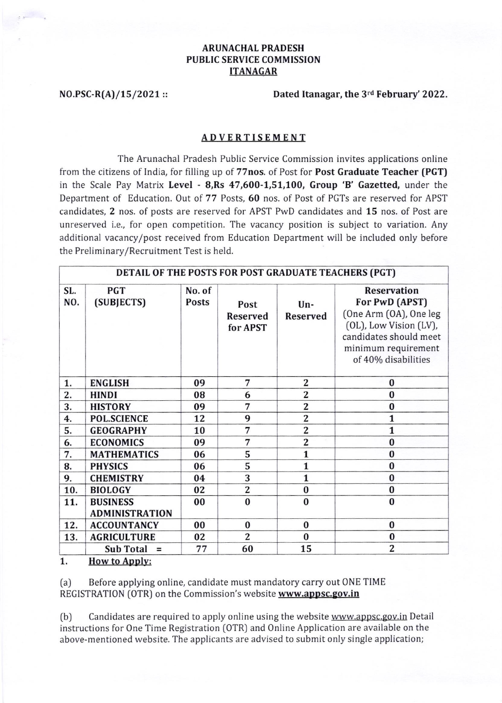## **ARUNACHAL PRADESH** PUBLIC SERVICE COMMISSION ITANAGAR

NO.PSC-R(A)/15/2021 :: Dated Itanagar, the  $3^{rd}$  February' 2022.

## ADVERTISEMENT

The Arunachal Pradesh Public Service Commission invites applications online from the citizens of India, for filling up of 77nos. of Post for Post Graduate Teacher [PGT) in the Scale Pay Matrix Level - 8, Rs 47, 600-1, 51, 100, Group 'B' Gazetted, under the Department of Education. Out of 77 Posts, 60 nos. of Post of PGTs are reserved for APST candidates, 2 nos. of posts are reserved for APST PwD candidates and 15 nos. of Post are unreserved i.e., for open competition. The vacancy position is subject to variation. Any additional vacancy/post received from Education Department will be included only before the Preliminary/Recruitment Test is held.

| DETAIL OF THE POSTS FOR POST GRADUATE TEACHERS (PGT) |                                          |                        |                                     |                         |                                                                                                                                                                  |  |
|------------------------------------------------------|------------------------------------------|------------------------|-------------------------------------|-------------------------|------------------------------------------------------------------------------------------------------------------------------------------------------------------|--|
| SL.<br>NO.                                           | <b>PGT</b><br>(SUBJECTS)                 | No. of<br><b>Posts</b> | Post<br><b>Reserved</b><br>for APST | Un-<br><b>Reserved</b>  | <b>Reservation</b><br>For PwD (APST)<br>(One Arm (OA), One leg<br>(OL), Low Vision (LV),<br>candidates should meet<br>minimum requirement<br>of 40% disabilities |  |
| 1.                                                   | <b>ENGLISH</b>                           | 09                     | 7                                   | $\overline{\mathbf{2}}$ | $\bf{0}$                                                                                                                                                         |  |
| 2.                                                   | <b>HINDI</b>                             | 08                     | 6                                   | $\overline{2}$          | $\bf{0}$                                                                                                                                                         |  |
| 3.                                                   | <b>HISTORY</b>                           | 09                     | 7                                   | $\overline{2}$          | $\bf{0}$                                                                                                                                                         |  |
| 4.                                                   | <b>POL.SCIENCE</b>                       | 12                     | 9                                   | $\overline{2}$          | $\mathbf{1}$                                                                                                                                                     |  |
| 5.                                                   | <b>GEOGRAPHY</b>                         | 10                     | 7                                   | $\overline{2}$          | $\mathbf{1}$                                                                                                                                                     |  |
| 6.                                                   | <b>ECONOMICS</b>                         | 09                     | 7                                   | $\overline{2}$          | $\bf{0}$                                                                                                                                                         |  |
| 7.                                                   | <b>MATHEMATICS</b>                       | 06                     | 5                                   | 1                       | $\bf{0}$                                                                                                                                                         |  |
| 8.                                                   | <b>PHYSICS</b>                           | 06                     | $\overline{5}$                      | $\mathbf{1}$            | $\bf{0}$                                                                                                                                                         |  |
| 9.                                                   | <b>CHEMISTRY</b>                         | 04                     | 3                                   | 1                       | $\bf{0}$                                                                                                                                                         |  |
| 10.                                                  | <b>BIOLOGY</b>                           | 02                     | $\overline{\mathbf{c}}$             | $\bf{0}$                | $\bf{0}$                                                                                                                                                         |  |
| 11.                                                  | <b>BUSINESS</b><br><b>ADMINISTRATION</b> | 00                     | $\bf{0}$                            | $\bf{0}$                | $\bf{0}$                                                                                                                                                         |  |
| 12.                                                  | <b>ACCOUNTANCY</b>                       | 00                     | $\bf{0}$                            | $\bf{0}$                | $\bf{0}$                                                                                                                                                         |  |
| 13.                                                  | <b>AGRICULTURE</b>                       | 02                     | $\overline{2}$                      | $\bf{0}$                | $\bf{0}$                                                                                                                                                         |  |
|                                                      | <b>Sub Total</b><br>$=$                  | 77                     | 60                                  | 15                      | 2                                                                                                                                                                |  |

1. How to Apply:

(a) Before applying online, candidate must mandatory carry out 0NE TIME REGISTRATION (OTR) on the Commission's website www.appsc.gov.in

(b) Candidates are required to apply online using the website www.appsc.gov.in Detail instructions for One Time Registration (OTR) and 0nline Application are available on the above-mentioned website. The applicants are advised to submit only single application;